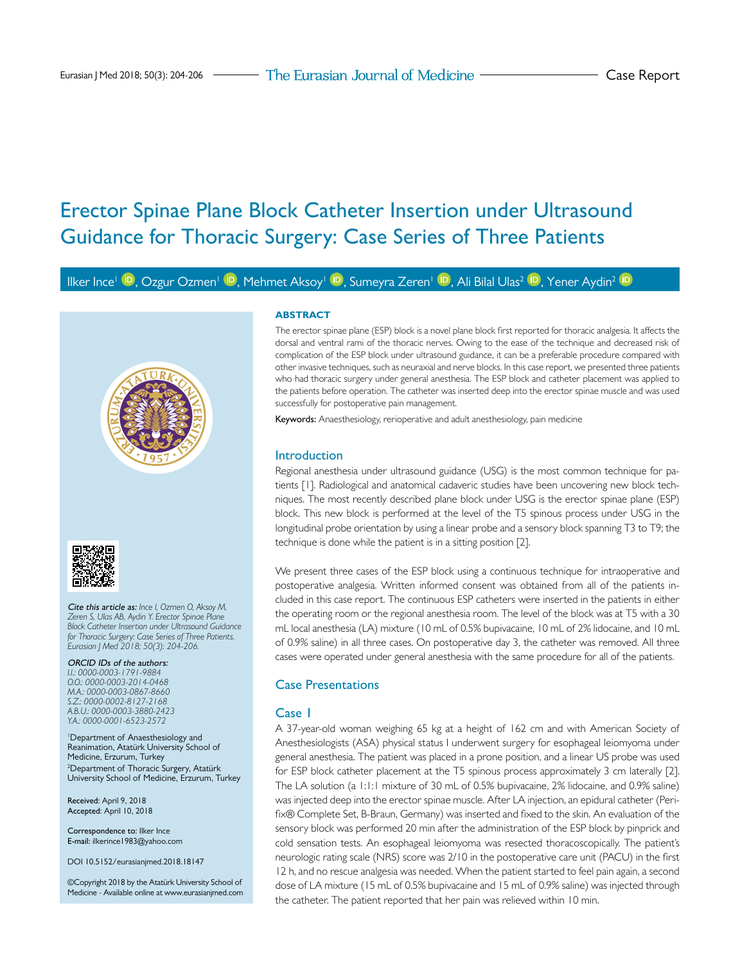# Erector Spinae Plane Block Catheter Insertion under Ultrasound Guidance for Thoracic Surgery: Case Series of Three Patients

Ilker Ince<sup>l (D</sup>. Ozgur Ozmen<sup>t (D</sup>. Mehmet Aksoy<sup>t (D</sup>. Sumeyra Zeren<sup>t (D</sup>. Ali Bilal Ulas<sup>2 (D</sup>. Yener Aydin<sup>2 (D</sup>)





Cite this article as: *Ince I, Ozmen O, Aksoy M, Zeren S, Ulas AB, Aydin Y. Erector Spinae Plane Block Catheter Insertion under Ultrasound Guidance for Thoracic Surgery: Case Series of Three Patients. Eurasian J Med 2018; 50(3): 204-206.*

ORCID IDs of the authors: *I.I.: 0000-0003-1791-9884 O.O.: 0000-0003-2014-0468 M.A.: 0000-0003-0867-8660 S.Z.: 0000-0002-8127-2168 A.B.U.: 0000-0003-3880-2423 Y.A.: 0000-0001-6523-2572*

1 Department of Anaesthesiology and Reanimation, Atatürk University School of Medicine, Erzurum, Turkey 2 Department of Thoracic Surgery, Atatürk University School of Medicine, Erzurum, Turkey

Received: April 9, 2018 Accepted: April 10, 2018

Correspondence to: Ilker Ince E-mail: ilkerince1983@yahoo.com

DOI 10.5152/eurasianjmed.2018.18147

©Copyright 2018 by the Atatürk University School of Medicine - Available online at www.eurasianjmed.com

#### **ABSTRACT**

The erector spinae plane (ESP) block is a novel plane block first reported for thoracic analgesia. It affects the dorsal and ventral rami of the thoracic nerves. Owing to the ease of the technique and decreased risk of complication of the ESP block under ultrasound guidance, it can be a preferable procedure compared with other invasive techniques, such as neuraxial and nerve blocks. In this case report, we presented three patients who had thoracic surgery under general anesthesia. The ESP block and catheter placement was applied to the patients before operation. The catheter was inserted deep into the erector spinae muscle and was used successfully for postoperative pain management.

Keywords: Anaesthesiology, rerioperative and adult anesthesiology, pain medicine

#### Introduction

Regional anesthesia under ultrasound guidance (USG) is the most common technique for patients [1]. Radiological and anatomical cadaveric studies have been uncovering new block techniques. The most recently described plane block under USG is the erector spinae plane (ESP) block. This new block is performed at the level of the T5 spinous process under USG in the longitudinal probe orientation by using a linear probe and a sensory block spanning T3 to T9; the technique is done while the patient is in a sitting position [2].

We present three cases of the ESP block using a continuous technique for intraoperative and postoperative analgesia. Written informed consent was obtained from all of the patients included in this case report. The continuous ESP catheters were inserted in the patients in either the operating room or the regional anesthesia room. The level of the block was at T5 with a 30 mL local anesthesia (LA) mixture (10 mL of 0.5% bupivacaine, 10 mL of 2% lidocaine, and 10 mL of 0.9% saline) in all three cases. On postoperative day 3, the catheter was removed. All three cases were operated under general anesthesia with the same procedure for all of the patients.

#### Case Presentations

#### Case 1

A 37-year-old woman weighing 65 kg at a height of 162 cm and with American Society of Anesthesiologists (ASA) physical status I underwent surgery for esophageal leiomyoma under general anesthesia. The patient was placed in a prone position, and a linear US probe was used for ESP block catheter placement at the T5 spinous process approximately 3 cm laterally [2]. The LA solution (a 1:1:1 mixture of 30 mL of 0.5% bupivacaine, 2% lidocaine, and 0.9% saline) was injected deep into the erector spinae muscle. After LA injection, an epidural catheter (Perifix® Complete Set, B-Braun, Germany) was inserted and fixed to the skin. An evaluation of the sensory block was performed 20 min after the administration of the ESP block by pinprick and cold sensation tests. An esophageal leiomyoma was resected thoracoscopically. The patient's neurologic rating scale (NRS) score was 2/10 in the postoperative care unit (PACU) in the first 12 h, and no rescue analgesia was needed. When the patient started to feel pain again, a second dose of LA mixture (15 mL of 0.5% bupivacaine and 15 mL of 0.9% saline) was injected through the catheter. The patient reported that her pain was relieved within 10 min.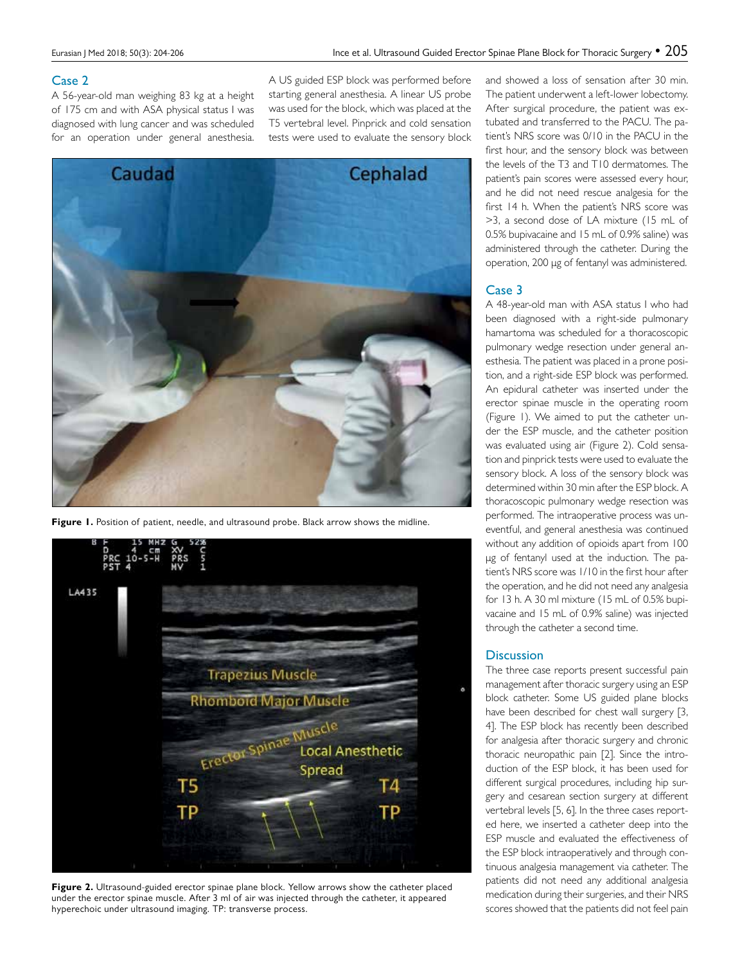## Case 2

A 56-year-old man weighing 83 kg at a height of 175 cm and with ASA physical status I was diagnosed with lung cancer and was scheduled for an operation under general anesthesia.

A US guided ESP block was performed before starting general anesthesia. A linear US probe was used for the block, which was placed at the T5 vertebral level. Pinprick and cold sensation tests were used to evaluate the sensory block



Figure 1. Position of patient, needle, and ultrasound probe. Black arrow shows the midline.



**Figure 2.** Ultrasound-guided erector spinae plane block. Yellow arrows show the catheter placed under the erector spinae muscle. After 3 ml of air was injected through the catheter, it appeared hyperechoic under ultrasound imaging. TP: transverse process.

and showed a loss of sensation after 30 min. The patient underwent a left-lower lobectomy. After surgical procedure, the patient was extubated and transferred to the PACU. The patient's NRS score was 0/10 in the PACU in the first hour, and the sensory block was between the levels of the T3 and T10 dermatomes. The patient's pain scores were assessed every hour, and he did not need rescue analgesia for the first 14 h. When the patient's NRS score was >3, a second dose of LA mixture (15 mL of 0.5% bupivacaine and 15 mL of 0.9% saline) was administered through the catheter. During the operation, 200 μg of fentanyl was administered.

### Case 3

A 48-year-old man with ASA status I who had been diagnosed with a right-side pulmonary hamartoma was scheduled for a thoracoscopic pulmonary wedge resection under general anesthesia. The patient was placed in a prone position, and a right-side ESP block was performed. An epidural catheter was inserted under the erector spinae muscle in the operating room (Figure 1). We aimed to put the catheter under the ESP muscle, and the catheter position was evaluated using air (Figure 2). Cold sensation and pinprick tests were used to evaluate the sensory block. A loss of the sensory block was determined within 30 min after the ESP block. A thoracoscopic pulmonary wedge resection was performed. The intraoperative process was uneventful, and general anesthesia was continued without any addition of opioids apart from 100 μg of fentanyl used at the induction. The patient's NRS score was 1/10 in the first hour after the operation, and he did not need any analgesia for 13 h. A 30 ml mixture (15 mL of 0.5% bupivacaine and 15 mL of 0.9% saline) was injected through the catheter a second time.

## **Discussion**

The three case reports present successful pain management after thoracic surgery using an ESP block catheter. Some US guided plane blocks have been described for chest wall surgery [3, 4]. The ESP block has recently been described for analgesia after thoracic surgery and chronic thoracic neuropathic pain [2]. Since the introduction of the ESP block, it has been used for different surgical procedures, including hip surgery and cesarean section surgery at different vertebral levels [5, 6]. In the three cases reported here, we inserted a catheter deep into the ESP muscle and evaluated the effectiveness of the ESP block intraoperatively and through continuous analgesia management via catheter. The patients did not need any additional analgesia medication during their surgeries, and their NRS scores showed that the patients did not feel pain